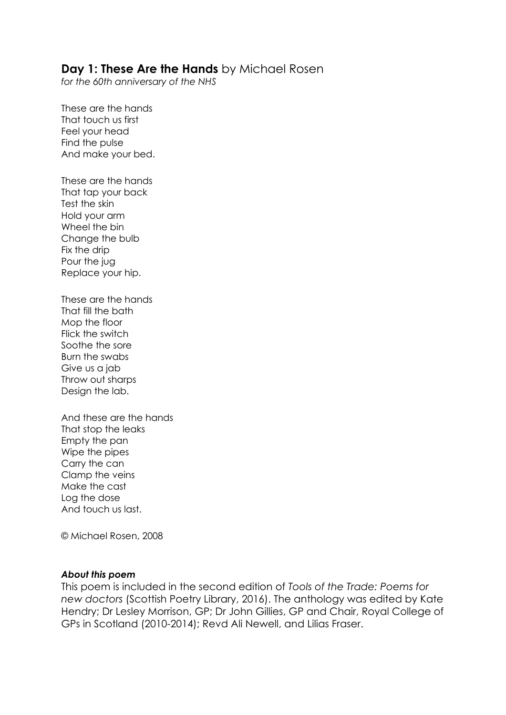#### **Day 1: These Are the Hands** by Michael Rosen

*for the 60th anniversary of the NHS*

These are the hands That touch us first Feel your head Find the pulse And make your bed.

These are the hands That tap your back Test the skin Hold your arm Wheel the bin Change the bulb Fix the drip Pour the jug Replace your hip.

These are the hands That fill the bath Mop the floor Flick the switch Soothe the sore Burn the swabs Give us a jab Throw out sharps Design the lab.

And these are the hands That stop the leaks Empty the pan Wipe the pipes Carry the can Clamp the veins Make the cast Log the dose And touch us last.

© Michael Rosen, 2008

#### *About this poem*

This poem is included in the second edition of *Tools of the Trade: Poems for new doctors* (Scottish Poetry Library, 2016). The anthology was edited by Kate Hendry; Dr Lesley Morrison, GP; Dr John Gillies, GP and Chair, Royal College of GPs in Scotland (2010-2014); Revd Ali Newell, and Lilias Fraser.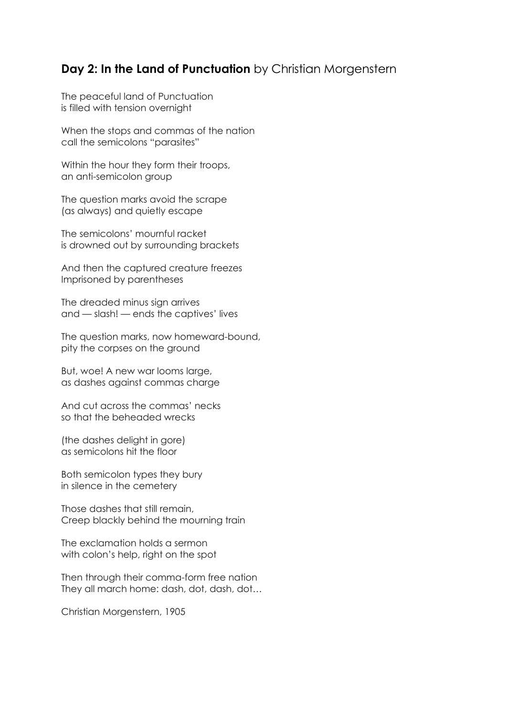### **Day 2: In the Land of Punctuation** by Christian Morgenstern

The peaceful land of Punctuation is filled with tension overnight

When the stops and commas of the nation call the semicolons "parasites"

Within the hour they form their troops, an anti-semicolon group

The question marks avoid the scrape (as always) and quietly escape

The semicolons' mournful racket is drowned out by surrounding brackets

And then the captured creature freezes Imprisoned by parentheses

The dreaded minus sign arrives and — slash! — ends the captives' lives

The question marks, now homeward-bound, pity the corpses on the ground

But, woe! A new war looms large, as dashes against commas charge

And cut across the commas' necks so that the beheaded wrecks

(the dashes delight in gore) as semicolons hit the floor

Both semicolon types they bury in silence in the cemetery

Those dashes that still remain, Creep blackly behind the mourning train

The exclamation holds a sermon with colon's help, right on the spot

Then through their comma-form free nation They all march home: dash, dot, dash, dot…

Christian Morgenstern, 1905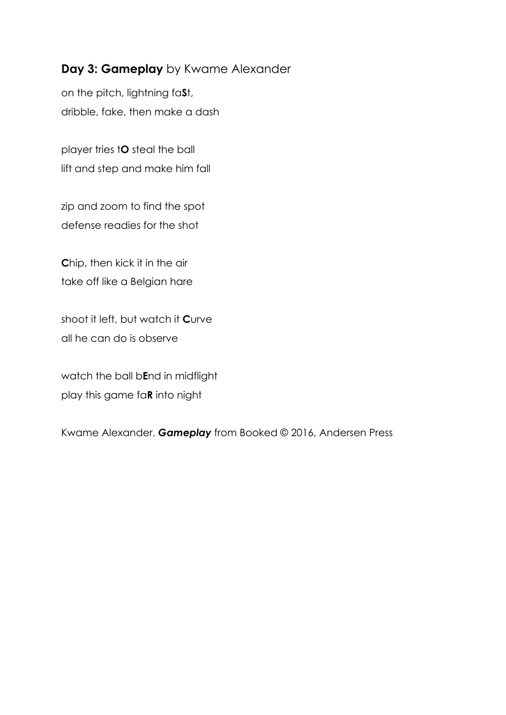# **Day 3: Gameplay** by Kwame Alexander

on the pitch, lightning fa**S**t, dribble, fake, then make a dash

player tries t**O** steal the ball lift and step and make him fall

zip and zoom to find the spot defense readies for the shot

**C**hip, then kick it in the air take off like a Belgian hare

shoot it left, but watch it **C**urve all he can do is observe

watch the ball b**E**nd in midflight play this game fa**R** into night

Kwame Alexander, *Gameplay* from Booked © 2016, Andersen Press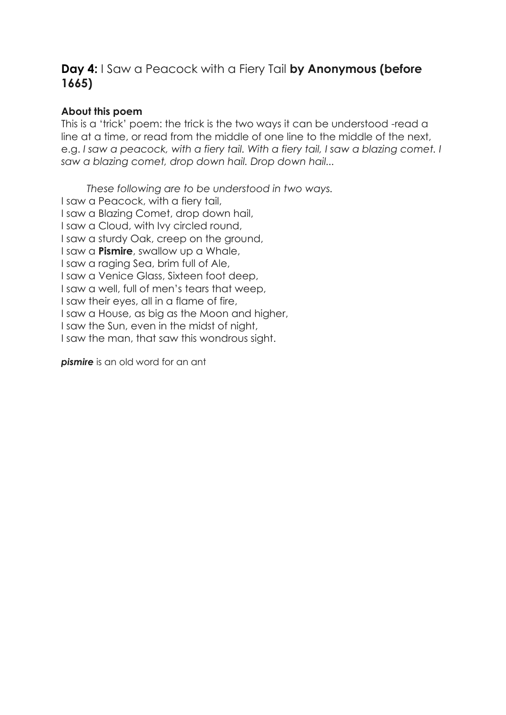## **Day 4:** I Saw a Peacock with a Fiery Tail **by Anonymous (before 1665)**

#### **About this poem**

This is a 'trick' poem: the trick is the two ways it can be understood -read a line at a time, or read from the middle of one line to the middle of the next, e.g. I saw a peacock, with a fiery tail. With a fiery tail, I saw a blazing comet. I *saw a blazing comet, drop down hail. Drop down hail...*

 *These following are to be understood in two ways.* I saw a Peacock, with a fiery tail, I saw a Blazing Comet, drop down hail, I saw a Cloud, with Ivy circled round, I saw a sturdy Oak, creep on the ground, I saw a **Pismire**, swallow up a Whale, I saw a raging Sea, brim full of Ale, I saw a Venice Glass, Sixteen foot deep, I saw a well, full of men's tears that weep, I saw their eyes, all in a flame of fire, I saw a House, as big as the Moon and higher, I saw the Sun, even in the midst of night, I saw the man, that saw this wondrous sight.

**pismire** is an old word for an ant